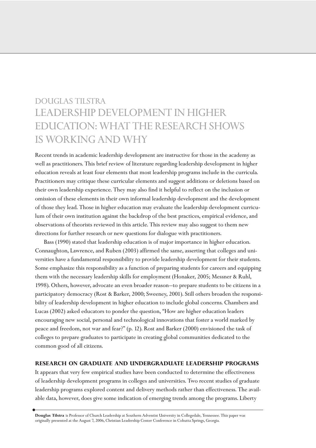# DOUGLAS TILSTRA LEADERSHIP DEVELOPMENT IN HIGHER EDUCATION: WHAT THE RESEARCH SHOWS IS WORKING AND WHY

Recent trends in academic leadership development are instructive for those in the academy as well as practitioners. This brief review of literature regarding leadership development in higher education reveals at least four elements that most leadership programs include in the curricula. Practitioners may critique these curricular elements and suggest additions or deletions based on their own leadership experience. They may also find it helpful to reflect on the inclusion or omission of these elements in their own informal leadership development and the development of those they lead. Those in higher education may evaluate the leadership development curriculum of their own institution against the backdrop of the best practices, empirical evidence, and observations of theorists reviewed in this article. This review may also suggest to them new directions for further research or new questions for dialogue with practitioners.

Bass (1990) stated that leadership education is of major importance in higher education. Connaughton, Lawrence, and Ruben (2003) affirmed the same, asserting that colleges and universities have a fundamental responsibility to provide leadership development for their students. Some emphasize this responsibility as a function of preparing students for careers and equipping them with the necessary leadership skills for employment (Honaker, 2005; Messner & Ruhl, 1998). Others, however, advocate an even broader reason—to prepare students to be citizens in a participatory democracy (Rost & Barker, 2000; Sweeney, 2001). Still others broaden the responsibility of leadership development in higher education to include global concerns. Chambers and Lucas (2002) asked educators to ponder the question, "How are higher education leaders encouraging new social, personal and technological innovations that foster a world marked by peace and freedom, not war and fear?" (p. 12). Rost and Barker (2000) envisioned the task of colleges to prepare graduates to participate in creating global communities dedicated to the common good of all citizens.

## **RESEARCH ON GRADUATE AND UNDERGRADUATE LEADERSHIP PROGRAMS**

It appears that very few empirical studies have been conducted to determine the effectiveness of leadership development programs in colleges and universities. Two recent studies of graduate leadership programs explored content and delivery methods rather than effectiveness. The available data, however, does give some indication of emerging trends among the programs. Liberty

**Douglas Tilstra** is Professor of Church Leadership at Southern Adventist University in Collegedale, Tennessee. This paper was originally presented at the August 7, 2006, Christian Leadership Center Conference in Cohutta Springs, Georgia.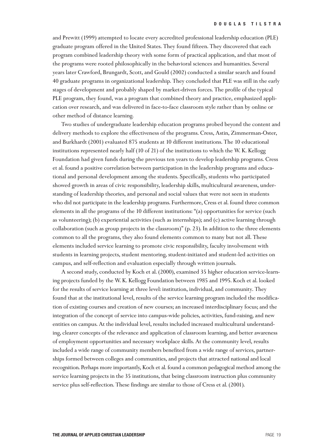and Prewitt (1999) attempted to locate every accredited professional leadership education (PLE) graduate program offered in the United States. They found fifteen. They discovered that each program combined leadership theory with some form of practical application, and that most of the programs were rooted philosophically in the behavioral sciences and humanities. Several years later Crawford, Brungardt, Scott, and Gould (2002) conducted a similar search and found 40 graduate programs in organizational leadership. They concluded that PLE was still in the early stages of development and probably shaped by market-driven forces. The profile of the typical PLE program, they found, was a program that combined theory and practice, emphasized application over research, and was delivered in face-to-face classroom style rather than by online or other method of distance learning.

Two studies of undergraduate leadership education programs probed beyond the content and delivery methods to explore the effectiveness of the programs. Cress, Astin, Zimmerman-Oster, and Burkhardt (2001) evaluated 875 students at 10 different institutions. The 10 educational institutions represented nearly half (10 of 21) of the institutions to which the W. K. Kellogg Foundation had given funds during the previous ten years to develop leadership programs. Cress et al. found a positive correlation between participation in the leadership programs and educational and personal development among the students. Specifically, students who participated showed growth in areas of civic responsibility, leadership skills, multicultural awareness, understanding of leadership theories, and personal and social values that were not seen in students who did not participate in the leadership programs. Furthermore, Cress et al. found three common elements in all the programs of the 10 different institutions: "(a) opportunities for service (such as volunteering); (b) experiential activities (such as internships); and (c) active learning through collaboration (such as group projects in the classroom)" (p. 23). In addition to the three elements common to all the programs, they also found elements common to many but not all. These elements included service learning to promote civic responsibility, faculty involvement with students in learning projects, student mentoring, student-initiated and student-led activities on campus, and self-reflection and evaluation especially through written journals.

A second study, conducted by Koch et al. (2000), examined 35 higher education service-learning projects funded by the W. K. Kellogg Foundation between 1985 and 1995. Koch et al. looked for the results of service learning at three level: institution, individual, and community. They found that at the institutional level, results of the service learning program included the modification of existing courses and creation of new courses; an increased interdisciplinary focus; and the integration of the concept of service into campus-wide policies, activities, fund-raising, and new entities on campus. At the individual level, results included increased multicultural understanding, clearer concepts of the relevance and application of classroom learning, and better awareness of employment opportunities and necessary workplace skills. At the community level, results included a wide range of community members benefited from a wide range of services, partnerships formed between colleges and communities, and projects that attracted national and local recognition. Perhaps more importantly, Koch et al. found a common pedagogical method among the service learning projects in the 35 institutions, that being classroom instruction plus community service plus self-reflection. These findings are similar to those of Cress et al. (2001).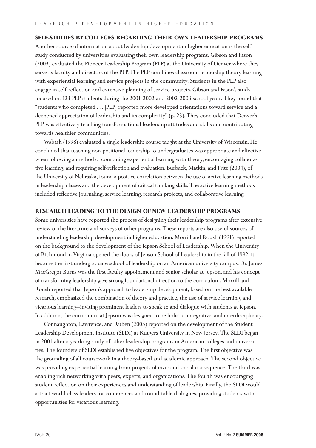## **SELF-STUDIES BY COLLEGES REGARDING THEIR OWN LEADERSHIP PROGRAMS**

Another source of information about leadership development in higher education is the selfstudy conducted by universities evaluating their own leadership programs. Gibson and Pason (2003) evaluated the Pioneer Leadership Program (PLP) at the University of Denver where they serve as faculty and directors of the PLP. The PLP combines classroom leadership theory learning with experiential learning and service projects in the community. Students in the PLP also engage in self-reflection and extensive planning of service projects. Gibson and Pason's study focused on 123 PLP students during the 2001-2002 and 2002-2003 school years. They found that "students who completed . . . [PLP] reported more developed orientations toward service and a deepened appreciation of leadership and its complexity" (p. 23). They concluded that Denver's PLP was effectively teaching transformational leadership attitudes and skills and contributing towards healthier communities.

Wabash (1998) evaluated a single leadership course taught at the University of Wisconsin. He concluded that teaching non-positional leadership to undergraduates was appropriate and effective when following a method of combining experiential learning with theory, encouraging collaborative learning, and requiring self-reflection and evaluation. Burback, Matkin, and Fritz (2004), of the University of Nebraska, found a positive correlation between the use of active learning methods in leadership classes and the development of critical thinking skills. The active learning methods included reflective journaling, service learning, research projects, and collaborative learning.

#### **RESEARCH LEADING TO THE DESIGN OF NEW LEADERSHIP PROGRAMS**

Some universities have reported the process of designing their leadership programs after extensive review of the literature and surveys of other programs. These reports are also useful sources of understanding leadership development in higher education. Morrill and Roush (1991) reported on the background to the development of the Jepson School of Leadership. When the University of Richmond in Virginia opened the doors of Jepson School of Leadership in the fall of 1992, it became the first undergraduate school of leadership on an American university campus. Dr. James MacGregor Burns was the first faculty appointment and senior scholar at Jepson, and his concept of transforming leadership gave strong foundational direction to the curriculum. Morrill and Roush reported that Jepson's approach to leadership development, based on the best available research, emphasized the combination of theory and practice, the use of service learning, and vicarious learning—inviting prominent leaders to speak to and dialogue with students at Jepson. In addition, the curriculum at Jepson was designed to be holistic, integrative, and interdisciplinary.

Connaughton, Lawrence, and Ruben (2003) reported on the development of the Student Leadership Development Institute (SLDI) at Rutgers University in New Jersey. The SLDI began in 2001 after a yearlong study of other leadership programs in American colleges and universities. The founders of SLDI established five objectives for the program. The first objective was the grounding of all coursework in a theory-based and academic approach. The second objective was providing experiential learning from projects of civic and social consequence. The third was enabling rich networking with peers, experts, and organizations. The fourth was encouraging student reflection on their experiences and understanding of leadership. Finally, the SLDI would attract world-class leaders for conferences and round-table dialogues, providing students with opportunities for vicarious learning.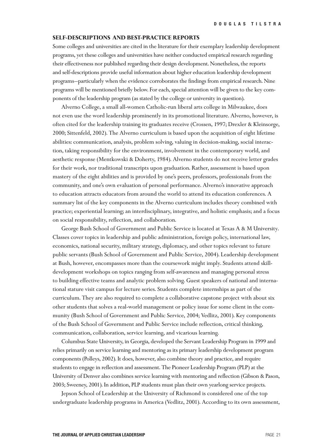### **SELF-DESCRIPTIONS AND BEST-PRACTICE REPORTS**

Some colleges and universities are cited in the literature for their exemplary leadership development programs, yet these colleges and universities have neither conducted empirical research regarding their effectiveness nor published regarding their design development. Nonetheless, the reports and self-descriptions provide useful information about higher education leadership development programs—particularly when the evidence corroborates the findings from empirical research. Nine programs will be mentioned briefly below. For each, special attention will be given to the key components of the leadership program (as stated by the college or university in question).

Alverno College, a small all-women Catholic-run liberal arts college in Milwaukee, does not even use the word leadership prominently in its promotional literature. Alverno, however, is often cited for the leadership training its graduates receive (Crossen, 1997; Drexler & Kleinsorge, 2000; Sittenfeld, 2002). The Alverno curriculum is based upon the acquisition of eight lifetime abilities: communication, analysis, problem solving, valuing in decision-making, social interaction, taking responsibility for the environment, involvement in the contemporary world, and aesthetic response (Mentkowski & Doherty, 1984). Alverno students do not receive letter grades for their work, nor traditional transcripts upon graduation. Rather, assessment is based upon mastery of the eight abilities and is provided by one's peers, professors, professionals from the community, and one's own evaluation of personal performance. Alverno's innovative approach to education attracts educators from around the world to attend its education conferences. A summary list of the key components in the Alverno curriculum includes theory combined with practice; experiential learning; an interdisciplinary, integrative, and holistic emphasis; and a focus on social responsibility, reflection, and collaboration.

George Bush School of Government and Public Service is located at Texas A & M University. Classes cover topics in leadership and public administration, foreign policy, international law, economics, national security, military strategy, diplomacy, and other topics relevant to future public servants (Bush School of Government and Public Service, 2004). Leadership development at Bush, however, encompasses more than the coursework might imply. Students attend skilldevelopment workshops on topics ranging from self-awareness and managing personal stress to building effective teams and analytic problem solving. Guest speakers of national and international stature visit campus for lecture series. Students complete internships as part of the curriculum. They are also required to complete a collaborative capstone project with about six other students that solves a real-world management or policy issue for some client in the community (Bush School of Government and Public Service, 2004; Vedlitz, 2001). Key components of the Bush School of Government and Public Service include reflection, critical thinking, communication, collaboration, service learning, and vicarious learning.

Columbus State University, in Georgia, developed the Servant Leadership Program in 1999 and relies primarily on service learning and mentoring as its primary leadership development program components (Polleys, 2002). It does, however, also combine theory and practice, and require students to engage in reflection and assessment. The Pioneer Leadership Program (PLP) at the University of Denver also combines service learning with mentoring and reflection (Gibson & Pason, 2003; Sweeney, 2001). In addition, PLP students must plan their own yearlong service projects.

Jepson School of Leadership at the University of Richmond is considered one of the top undergraduate leadership programs in America (Vedlitz, 2001). According to its own assessment,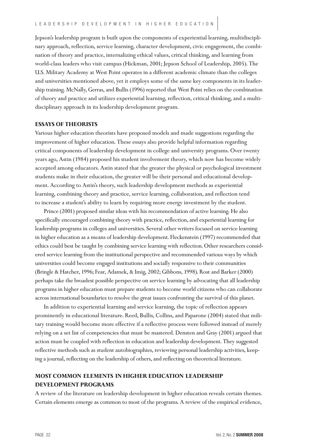Jepson's leadership program is built upon the components of experiential learning, multidisciplinary approach, reflection, service learning, character development, civic engagement, the combination of theory and practice, internalizing ethical values, critical thinking, and learning from world-class leaders who visit campus (Hickman, 2001; Jepson School of Leadership, 2005). The U.S. Military Academy at West Point operates in a different academic climate than the colleges and universities mentioned above, yet it employs some of the same key components in its leadership training. McNally, Gerras, and Bullis (1996) reported that West Point relies on the combination of theory and practice and utilizes experiential learning, reflection, critical thinking, and a multidisciplinary approach in its leadership development program.

### **ESSAYS OF THEORISTS**

Various higher education theorists have proposed models and made suggestions regarding the improvement of higher education. These essays also provide helpful information regarding critical components of leadership development in college and university programs. Over twenty years ago, Astin (1984) proposed his student involvement theory, which now has become widely accepted among educators. Astin stated that the greater the physical or psychological investment students make in their education, the greater will be their personal and educational development. According to Astin's theory, such leadership development methods as experiential learning, combining theory and practice, service learning, collaboration, and reflection tend to increase a student's ability to learn by requiring more energy investment by the student.

Prince (2001) proposed similar ideas with his recommendation of active learning. He also specifically encouraged combining theory with practice, reflection, and experiential learning for leadership programs in colleges and universities. Several other writers focused on service learning in higher education as a means of leadership development. Fleckenstein (1997) recommended that ethics could best be taught by combining service learning with reflection. Other researchers considered service learning from the institutional perspective and recommended various ways by which universities could become engaged institutions and socially responsive to their communities (Bringle & Hatcher, 1996; Fear, Adamek, & Imig, 2002; Gibbons, 1998). Rost and Barker (2000) perhaps take the broadest possible perspective on service learning by advocating that all leadership programs in higher education must prepare students to become world citizens who can collaborate across international boundaries to resolve the great issues confronting the survival of this planet.

In addition to experiential learning and service learning, the topic of reflection appears prominently in educational literature. Reed, Bullis, Collins, and Paparone (2004) stated that military training would become more effective if a reflective process were followed instead of merely relying on a set list of competencies that must be mastered. Densten and Gray (2001) argued that action must be coupled with reflection in education and leadership development. They suggested reflective methods such as student autobiographies, reviewing personal leadership activities, keeping a journal, reflecting on the leadership of others, and reflecting on theoretical literature.

# **MOST COMMON ELEMENTS IN HIGHER EDUCATION LEADERSHIP DEVELOPMENT PROGRAMS**

A review of the literature on leadership development in higher education reveals certain themes. Certain elements emerge as common to most of the programs. A review of the empirical evidence,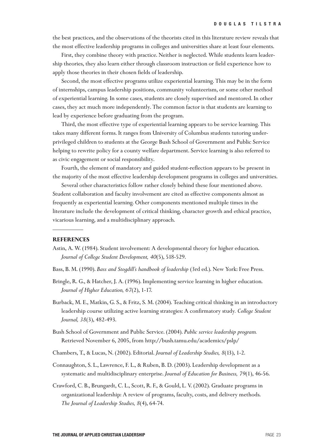the best practices, and the observations of the theorists cited in this literature review reveals that the most effective leadership programs in colleges and universities share at least four elements.

First, they combine theory with practice. Neither is neglected. While students learn leadership theories, they also learn either through classroom instruction or field experience how to apply those theories in their chosen fields of leadership.

Second, the most effective programs utilize experiential learning. This may be in the form of internships, campus leadership positions, community volunteerism, or some other method of experiential learning. In some cases, students are closely supervised and mentored. In other cases, they act much more independently. The common factor is that students are learning to lead by experience before graduating from the program.

Third, the most effective type of experiential learning appears to be service learning. This takes many different forms. It ranges from University of Columbus students tutoring underprivileged children to students at the George Bush School of Government and Public Service helping to rewrite policy for a county welfare department. Service learning is also referred to as civic engagement or social responsibility.

Fourth, the element of mandatory and guided student-reflection appears to be present in the majority of the most effective leadership development programs in colleges and universities.

Several other characteristics follow rather closely behind these four mentioned above. Student collaboration and faculty involvement are cited as effective components almost as frequently as experiential learning. Other components mentioned multiple times in the literature include the development of critical thinking, character growth and ethical practice, vicarious learning, and a multidisciplinary approach.

#### **REFERENCES**

- Astin, A. W. (1984). Student involvement: A developmental theory for higher education. *Journal of College Student Development, 40*(5), 518-529.
- Bass, B. M. (1990). *Bass and Stogdill's handbook of leadership* (3rd ed.). New York: Free Press.
- Bringle, R. G., & Hatcher, J. A. (1996). Implementing service learning in higher education. *Journal of Higher Education, 67*(2), 1-17.
- Burback, M. E., Matkin, G. S., & Fritz, S. M. (2004). Teaching critical thinking in an introductory leadership course utilizing active learning strategies: A confirmatory study*. College Student Journal, 38*(3), 482-493.
- Bush School of Government and Public Service. (2004). *Public service leadership program.* Retrieved November 6, 2005, from http://bush.tamu.edu/academics/pslp/
- Chambers, T., & Lucas, N. (2002). Editorial. *Journal of Leadership Studies, 8*(13), 1-2.
- Connaughton, S. L., Lawrence, F. L., & Ruben, B. D. (2003). Leadership development as a systematic and multidisciplinary enterprise. *Journal of Education for Business, 79*(1), 46-56.
- Crawford, C. B., Brungardt, C. L., Scott, R. F., & Gould, L. V. (2002). Graduate programs in organizational leadership: A review of programs, faculty, costs, and delivery methods. *The Journal of Leadership Studies, 8*(4), 64-74.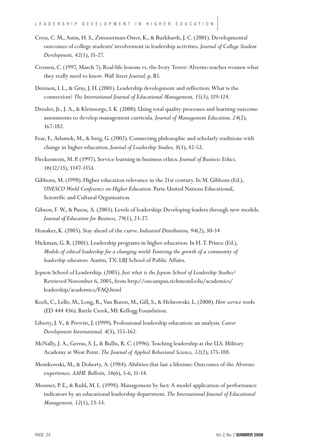- Cress, C. M., Astin, H. S., Zimmerman-Oster, K., & Burkhardt, J. C. (2001). Developmental outcomes of college students' involvement in leadership activities. *Journal of College Student Development, 42*(1), 15-27.
- Crossen, C. (1997, March 7). Real-life lessons vs. the Ivory Tower: Alverno teaches women what they really need to know. *Wall Street Journal,* p. B1.
- Dentsen, I. L., & Gray, J. H. (2001). Leadership development and reflection: What is the connection? *The International Journal of Educational Management, 15*(3), 119-124.
- Drexler, Jr., J. A., & Kleinsorge, I. K. (2000). Using total quality processes and learning outcome assessments to develop management curricula. *Journal of Management Education, 24*(2), 167-182.
- Fear, F., Adamek, M., & Imig, G. (2002). Connecting philosophic and scholarly traditions with change in higher education. *Journal of Leadership Studies, 8*(3), 42-52.
- Fleckenstein, M. P. (1997). Service learning in business ethics. *Journal of Business Ethics, 16*(12/13), 1347-1351.
- Gibbons, M. (1998). Higher education relevance in the 21st century. In M. Gibbons (Ed.), *UNESCO World Conference on Higher Education.* Paris: United Nations Educational, Scientific and Cultural Organization.
- Gibson, F. W., & Pason, A. (2003). Levels of leadership: Developing leaders through new models. *Journal of Education for Business, 79*(1), 23-27.
- Honaker, K. (2005). Stay ahead of the curve. *Industrial Distribution, 94*(2), 30-34
- Hickman, G. R. (2001). Leadership programs in higher education. In H. T. Prince (Ed.), *Models of ethical leadership for a changing world: Fostering the growth of a community of leadership educators.* Austin, TX: LBJ School of Public Affairs.
- Jepson School of Leadership. (2005). *Just what is the Jepson School of Leadership Studies?*  Retrieved November 6, 2005, from http://oncampus.richmond.edu/academics/ leadership/academics/FAQ.html
- Koch, C., Lelle, M., Long, R., Van Buren, M., Gill, S., & Helstowski, L. (2000). *How service works* (ED 444 436). Battle Creek, MI: Kellogg Foundation.
- Liberty, J. V., & Prewitt, J. (1999). Professional leadership education: an analysis. *Career Development International, 4*(3), 155-162.
- McNally, J. A., Gerras, S. J., & Bullis, R. C. (1996). Teaching leadership at the U.S. Military Academy at West Point. *The Journal of Applied Behavioral Science, 32*(2), 175-188.
- Mentkowski, M., & Doherty, A. (1984). Abilities that last a lifetime: Outcomes of the Alverno experience. *AAHE Bulletin, 36*(6), 5-6, 11-14.
- Messner, P. E., & Ruhl, M. L. (1998). Management by fact: A model application of performance indicators by an educational leadership department. *The International Journal of Educational Management. 12*(1), 23-33.